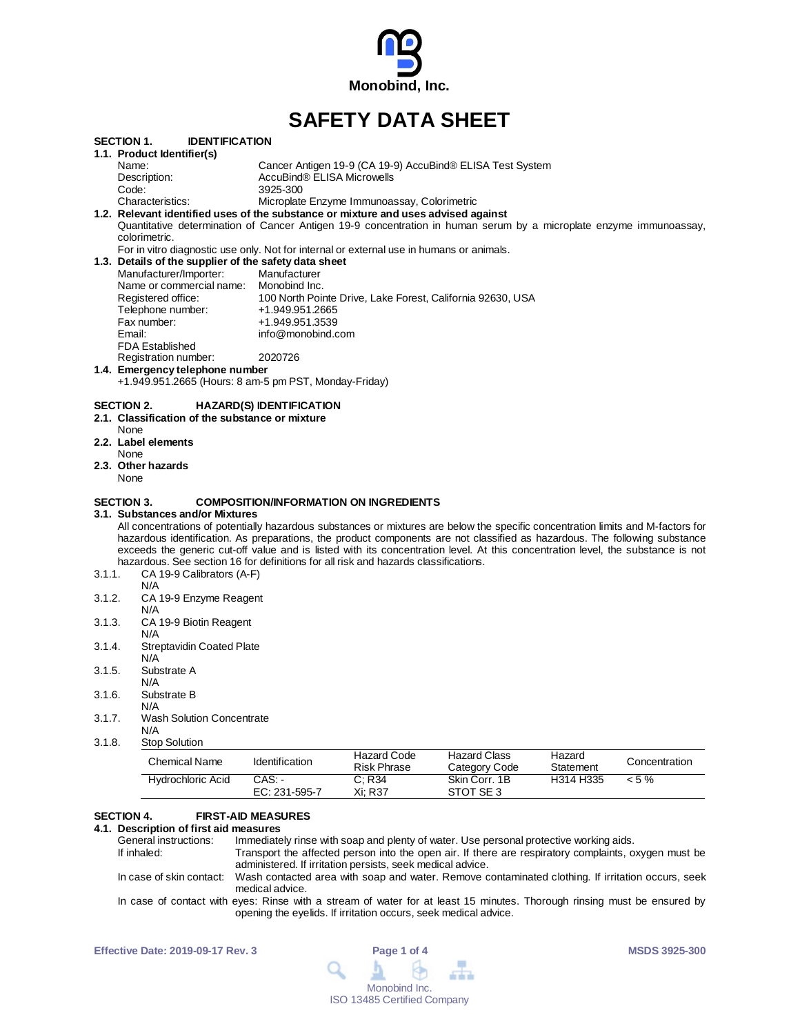

# **SAFETY DATA SHEET**

|                   | <b>Hydrochloric Acid</b>                                                                                                                                                                                                                                       | CAS:<br>EC: 231-595-7                  | C; R34<br>Xi; R37                                         | Skin Corr. 1B<br>STOT SE3                                  | H314 H335           | $< 5 \%$      |
|-------------------|----------------------------------------------------------------------------------------------------------------------------------------------------------------------------------------------------------------------------------------------------------------|----------------------------------------|-----------------------------------------------------------|------------------------------------------------------------|---------------------|---------------|
|                   | <b>Chemical Name</b>                                                                                                                                                                                                                                           | Identification                         | <b>Hazard Code</b><br><b>Risk Phrase</b>                  | <b>Hazard Class</b><br>Category Code                       | Hazard<br>Statement | Concentration |
| 3.1.8.            | <b>Stop Solution</b>                                                                                                                                                                                                                                           |                                        |                                                           |                                                            |                     |               |
| 3.1.7.            | <b>Wash Solution Concentrate</b><br>N/A                                                                                                                                                                                                                        |                                        |                                                           |                                                            |                     |               |
| 3.1.6.            | Substrate B<br>N/A                                                                                                                                                                                                                                             |                                        |                                                           |                                                            |                     |               |
|                   | N/A                                                                                                                                                                                                                                                            |                                        |                                                           |                                                            |                     |               |
| 3.1.5.            | N/A<br>Substrate A                                                                                                                                                                                                                                             |                                        |                                                           |                                                            |                     |               |
| 3.1.4.            | <b>Streptavidin Coated Plate</b>                                                                                                                                                                                                                               |                                        |                                                           |                                                            |                     |               |
| 3.1.3.            | CA 19-9 Biotin Reagent<br>N/A                                                                                                                                                                                                                                  |                                        |                                                           |                                                            |                     |               |
|                   | N/A                                                                                                                                                                                                                                                            |                                        |                                                           |                                                            |                     |               |
| 3.1.2.            | N/A<br>CA 19-9 Enzyme Reagent                                                                                                                                                                                                                                  |                                        |                                                           |                                                            |                     |               |
| 3.1.1.            | exceeds the generic cut-off value and is listed with its concentration level. At this concentration level, the substance is not<br>hazardous. See section 16 for definitions for all risk and hazards classifications.<br>CA 19-9 Calibrators (A-F)            |                                        |                                                           |                                                            |                     |               |
|                   | All concentrations of potentially hazardous substances or mixtures are below the specific concentration limits and M-factors for<br>hazardous identification. As preparations, the product components are not classified as hazardous. The following substance |                                        |                                                           |                                                            |                     |               |
| SECTION 3.        | 3.1. Substances and/or Mixtures                                                                                                                                                                                                                                |                                        | <b>COMPOSITION/INFORMATION ON INGREDIENTS</b>             |                                                            |                     |               |
| None              |                                                                                                                                                                                                                                                                |                                        |                                                           |                                                            |                     |               |
| None              | 2.3. Other hazards                                                                                                                                                                                                                                             |                                        |                                                           |                                                            |                     |               |
|                   | 2.2. Label elements                                                                                                                                                                                                                                            |                                        |                                                           |                                                            |                     |               |
| None              | 2.1. Classification of the substance or mixture                                                                                                                                                                                                                |                                        |                                                           |                                                            |                     |               |
| <b>SECTION 2.</b> |                                                                                                                                                                                                                                                                | <b>HAZARD(S) IDENTIFICATION</b>        |                                                           |                                                            |                     |               |
|                   | +1.949.951.2665 (Hours: 8 am-5 pm PST, Monday-Friday)                                                                                                                                                                                                          |                                        |                                                           |                                                            |                     |               |
|                   | 1.4. Emergency telephone number                                                                                                                                                                                                                                |                                        |                                                           |                                                            |                     |               |
|                   | Registration number:                                                                                                                                                                                                                                           | 2020726                                |                                                           |                                                            |                     |               |
|                   | Email:<br><b>FDA Established</b>                                                                                                                                                                                                                               | info@monobind.com                      |                                                           |                                                            |                     |               |
|                   | Fax number:                                                                                                                                                                                                                                                    | +1.949.951.3539                        |                                                           |                                                            |                     |               |
|                   | Telephone number:                                                                                                                                                                                                                                              | +1.949.951.2665                        |                                                           |                                                            |                     |               |
|                   | Name or commercial name:<br>Registered office:                                                                                                                                                                                                                 | Monobind Inc.                          |                                                           | 100 North Pointe Drive, Lake Forest, California 92630, USA |                     |               |
|                   | Manufacturer/Importer:                                                                                                                                                                                                                                         | Manufacturer                           |                                                           |                                                            |                     |               |
|                   | 1.3. Details of the supplier of the safety data sheet                                                                                                                                                                                                          |                                        |                                                           |                                                            |                     |               |
|                   | colorimetric.<br>For in vitro diagnostic use only. Not for internal or external use in humans or animals.                                                                                                                                                      |                                        |                                                           |                                                            |                     |               |
|                   | Quantitative determination of Cancer Antigen 19-9 concentration in human serum by a microplate enzyme immunoassay,                                                                                                                                             |                                        |                                                           |                                                            |                     |               |
|                   | 1.2. Relevant identified uses of the substance or mixture and uses advised against                                                                                                                                                                             |                                        |                                                           |                                                            |                     |               |
|                   | Characteristics:                                                                                                                                                                                                                                               |                                        | Microplate Enzyme Immunoassay, Colorimetric               |                                                            |                     |               |
|                   | Description:<br>Code:                                                                                                                                                                                                                                          | AccuBind® ELISA Microwells<br>3925-300 |                                                           |                                                            |                     |               |
|                   |                                                                                                                                                                                                                                                                |                                        | Cancer Antigen 19-9 (CA 19-9) AccuBind® ELISA Test System |                                                            |                     |               |
|                   |                                                                                                                                                                                                                                                                |                                        |                                                           |                                                            |                     |               |

### **SECTION 4. FIRST-AID MEASURES**

**4.1. Description of first aid measures** General instructions: Immediately rinse with soap and plenty of water. Use personal protective working aids.<br>If inhaled: Transport the affected person into the open air. If there are respiratory complaints, o If inhaled: Transport the affected person into the open air. If there are respiratory complaints, oxygen must be administered. If irritation persists, seek medical advice. In case of skin contact: Wash contacted area with soap and water. Remove contaminated clothing. If irritation occurs, seek medical advice. In case of contact with eyes: Rinse with a stream of water for at least 15 minutes. Thorough rinsing must be ensured by opening the eyelids. If irritation occurs, seek medical advice.

| <b>Effective Date: 2019-09-17 Rev. 3</b> | Page 1 of 4                                                                      | <b>MSDS 3925-300</b> |
|------------------------------------------|----------------------------------------------------------------------------------|----------------------|
|                                          | $\begin{array}{c} \mathbf{A} & \mathbf{B} & \mathbf{B} & \mathbf{B} \end{array}$ |                      |
|                                          | Monobind Inc.                                                                    |                      |
|                                          | <b>ISO 13485 Certified Company</b>                                               |                      |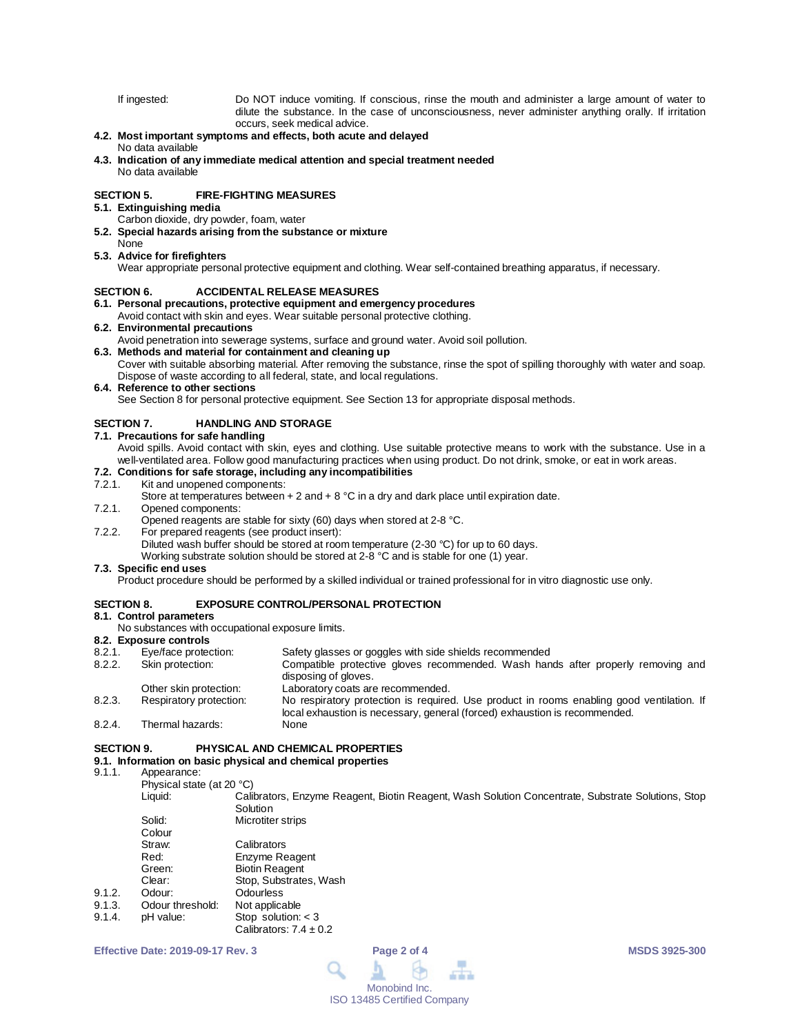If ingested: Do NOT induce vomiting. If conscious, rinse the mouth and administer a large amount of water to dilute the substance. In the case of unconsciousness, never administer anything orally. If irritation occurs, seek medical advice.

# **4.2. Most important symptoms and effects, both acute and delayed**

#### No data available

**4.3. Indication of any immediate medical attention and special treatment needed** No data available

#### **SECTION 5. FIRE-FIGHTING MEASURES**

#### **5.1. Extinguishing media**

- Carbon dioxide, dry powder, foam, water
- **5.2. Special hazards arising from the substance or mixture**

#### None **5.3. Advice for firefighters**

Wear appropriate personal protective equipment and clothing. Wear self-contained breathing apparatus, if necessary.

#### **SECTION 6. ACCIDENTAL RELEASE MEASURES**

**6.1. Personal precautions, protective equipment and emergency procedures**

# Avoid contact with skin and eyes. Wear suitable personal protective clothing.

# **6.2. Environmental precautions**

Avoid penetration into sewerage systems, surface and ground water. Avoid soil pollution.

# **6.3. Methods and material for containment and cleaning up**

Cover with suitable absorbing material. After removing the substance, rinse the spot of spilling thoroughly with water and soap. Dispose of waste according to all federal, state, and local regulations.

# **6.4. Reference to other sections**

See Section 8 for personal protective equipment. See Section 13 for appropriate disposal methods.

#### **SECTION 7. HANDLING AND STORAGE**

#### **7.1. Precautions for safe handling**

Avoid spills. Avoid contact with skin, eyes and clothing. Use suitable protective means to work with the substance. Use in a well-ventilated area. Follow good manufacturing practices when using product. Do not drink, smoke, or eat in work areas.

# **7.2. Conditions for safe storage, including any incompatibilities**

# 7.2.1. Kit and unopened components:

Store at temperatures between  $+ 2$  and  $+ 8$  °C in a dry and dark place until expiration date.

7.2.1. Opened components:

Opened reagents are stable for sixty (60) days when stored at 2-8 °C.

7.2.2. For prepared reagents (see product insert):

Diluted wash buffer should be stored at room temperature (2-30 °C) for up to 60 days.

Working substrate solution should be stored at 2-8 °C and is stable for one (1) year.

#### **7.3. Specific end uses**

Product procedure should be performed by a skilled individual or trained professional for in vitro diagnostic use only.

# **SECTION 8. EXPOSURE CONTROL/PERSONAL PROTECTION**

# **8.1. Control parameters**

No substances with occupational exposure limits.

# **8.2. Exposure controls**

- 8.2.1. Eye/face protection: Safety glasses or goggles with side shields recommended<br>8.2.2. Skin protection: Compatible protective gloves recommended. Wash han
- Compatible protective gloves recommended. Wash hands after properly removing and disposing of gloves. Other skin protection: Laboratory coats are recommended.
- 8.2.3. Respiratory protection: No respiratory protection is required. Use product in rooms enabling good ventilation. If local exhaustion is necessary, general (forced) exhaustion is recommended.
- 8.2.4. Thermal hazards:

# **SECTION 9. PHYSICAL AND CHEMICAL PROPERTIES**

# **9.1. Information on basic physical and chemical properties**

Appearance:

Physical state (at 20 °C)<br>Liquid: Cali Calibrators, Enzyme Reagent, Biotin Reagent, Wash Solution Concentrate, Substrate Solutions, Stop Solution

|        | Solid:           | Microtiter strips          |  |
|--------|------------------|----------------------------|--|
|        | Colour           |                            |  |
|        | Straw:           | Calibrators                |  |
|        | Red:             | Enzyme Reagent             |  |
|        | Green:           | <b>Biotin Reagent</b>      |  |
|        | Clear:           | Stop, Substrates, Wash     |  |
| 9.1.2. | Odour:           | Odourless                  |  |
| 9.1.3. | Odour threshold: | Not applicable             |  |
| 9.1.4. | pH value:        | Stop solution: $<$ 3       |  |
|        |                  | Calibrators: $7.4 \pm 0.2$ |  |

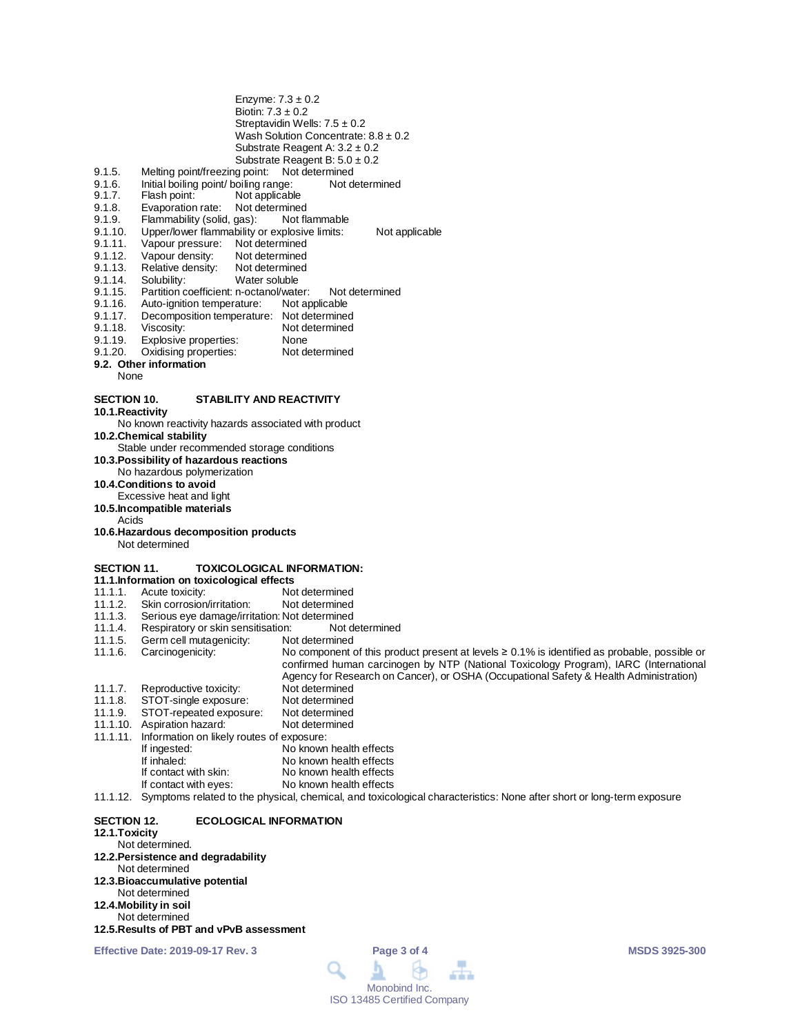|                    |                                                       | Enzyme: $7.3 \pm 0.2$                                                                                                          |
|--------------------|-------------------------------------------------------|--------------------------------------------------------------------------------------------------------------------------------|
|                    | Biotin: $7.3 \pm 0.2$                                 |                                                                                                                                |
|                    |                                                       | Streptavidin Wells: $7.5 \pm 0.2$                                                                                              |
|                    |                                                       | Wash Solution Concentrate: $8.8 \pm 0.2$                                                                                       |
|                    |                                                       | Substrate Reagent A: $3.2 \pm 0.2$                                                                                             |
|                    |                                                       | Substrate Reagent B: $5.0 \pm 0.2$                                                                                             |
| 9.1.5.             | Melting point/freezing point: Not determined          |                                                                                                                                |
| 9.1.6.<br>9.1.7.   | Initial boiling point/ boiling range:<br>Flash point: | Not determined                                                                                                                 |
| 9.1.8.             | Not applicable<br>Evaporation rate:<br>Not determined |                                                                                                                                |
| 9.1.9.             | Flammability (solid, gas):                            | Not flammable                                                                                                                  |
| 9.1.10.            | Upper/lower flammability or explosive limits:         | Not applicable                                                                                                                 |
| 9.1.11.            | Vapour pressure:<br>Not determined                    |                                                                                                                                |
| 9.1.12.            | Vapour density:<br>Not determined                     |                                                                                                                                |
| 9.1.13.            | Relative density:<br>Not determined                   |                                                                                                                                |
| 9.1.14.            | Solubility:<br>Water soluble                          |                                                                                                                                |
| 9.1.15.            | Partition coefficient: n-octanol/water:               | Not determined                                                                                                                 |
| 9.1.16.            | Auto-ignition temperature:                            | Not applicable                                                                                                                 |
| 9.1.17.            | Decomposition temperature: Not determined             |                                                                                                                                |
| 9.1.18.            | Viscosity:                                            | Not determined                                                                                                                 |
| 9.1.19.            | Explosive properties:                                 | None                                                                                                                           |
| 9.1.20.            | Oxidising properties:                                 | Not determined                                                                                                                 |
|                    | 9.2. Other information                                |                                                                                                                                |
| None               |                                                       |                                                                                                                                |
| <b>SECTION 10.</b> | <b>STABILITY AND REACTIVITY</b>                       |                                                                                                                                |
| 10.1. Reactivity   |                                                       |                                                                                                                                |
|                    | No known reactivity hazards associated with product   |                                                                                                                                |
|                    | 10.2. Chemical stability                              |                                                                                                                                |
|                    | Stable under recommended storage conditions           |                                                                                                                                |
|                    | 10.3. Possibility of hazardous reactions              |                                                                                                                                |
|                    | No hazardous polymerization                           |                                                                                                                                |
|                    | 10.4. Conditions to avoid                             |                                                                                                                                |
|                    | Excessive heat and light                              |                                                                                                                                |
|                    | 10.5. Incompatible materials                          |                                                                                                                                |
| Acids              |                                                       |                                                                                                                                |
|                    | 10.6. Hazardous decomposition products                |                                                                                                                                |
|                    | Not determined                                        |                                                                                                                                |
| <b>SECTION 11.</b> |                                                       | <b>TOXICOLOGICAL INFORMATION:</b>                                                                                              |
|                    | 11.1.Information on toxicological effects             |                                                                                                                                |
| 11.1.1.            | Acute toxicity:                                       | Not determined                                                                                                                 |
| 11.1.2.            | Skin corrosion/irritation:                            | Not determined                                                                                                                 |
| 11.1.3.            | Serious eye damage/irritation: Not determined         |                                                                                                                                |
| 11.1.4.            | Respiratory or skin sensitisation:                    | Not determined                                                                                                                 |
| 11.1.5.            | Germ cell mutagenicity:                               | Not determined                                                                                                                 |
| 11.1.6.            | Carcinogenicity:                                      | No component of this product present at levels $\geq 0.1\%$ is identified as probable, possible or                             |
|                    |                                                       | confirmed human carcinogen by NTP (National Toxicology Program), IARC (International                                           |
|                    |                                                       | Agency for Research on Cancer), or OSHA (Occupational Safety & Health Administration)                                          |
| 11.1.7.            | Reproductive toxicity:                                | Not determined                                                                                                                 |
| 11.1.8.            | STOT-single exposure:                                 | Not determined                                                                                                                 |
| 11.1.9.            | STOT-repeated exposure:                               | Not determined                                                                                                                 |
|                    | 11.1.10. Aspiration hazard:                           | Not determined                                                                                                                 |
| 11.1.11.           | Information on likely routes of exposure:             |                                                                                                                                |
|                    | If ingested:                                          | No known health effects                                                                                                        |
|                    | If inhaled:                                           | No known health effects                                                                                                        |
|                    | If contact with skin:                                 | No known health effects                                                                                                        |
|                    | If contact with eyes:                                 | No known health effects                                                                                                        |
|                    |                                                       | 11.1.12. Symptoms related to the physical, chemical, and toxicological characteristics: None after short or long-term exposure |
| <b>SECTION 12.</b> | <b>ECOLOGICAL INFORMATION</b>                         |                                                                                                                                |
| 12.1. Toxicity     |                                                       |                                                                                                                                |
|                    | Not determined.                                       |                                                                                                                                |
|                    | 12.2. Persistence and degradability                   |                                                                                                                                |
|                    |                                                       |                                                                                                                                |

#### Not determined **12.3.Bioaccumulative potential** Not determined **12.4.Mobility in soil** Not determined

**12.5.Results of PBT and vPvB assessment**

**Effective Date: 2019-09-17 Rev. 3 Page 3 of 4 MSDS 3925-300**